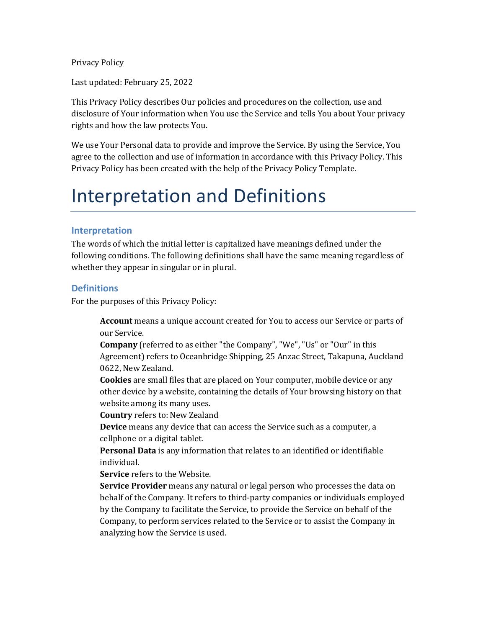Privacy Policy

Last updated: February 25, 2022

This Privacy Policy describes Our policies and procedures on the collection, use and disclosure of Your information when You use the Service and tells You about Your privacy rights and how the law protects You.

We use Your Personal data to provide and improve the Service. By using the Service, You agree to the collection and use of information in accordance with this Privacy Policy. This Privacy Policy has been created with the help of th[e Privacy Policy Template.](https://www.termsfeed.com/blog/sample-privacy-policy-template/)

## Interpretation and Definitions

## **Interpretation**

The words of which the initial letter is capitalized have meanings defined under the following conditions. The following definitions shall have the same meaning regardless of whether they appear in singular or in plural.

## **Definitions**

For the purposes of this Privacy Policy:

**Account** means a unique account created for You to access our Service or parts of our Service.

**Company** (referred to as either "the Company", "We", "Us" or "Our" in this Agreement) refers to Oceanbridge Shipping, 25 Anzac Street, Takapuna, Auckland 0622, New Zealand.

**Cookies** are small files that are placed on Your computer, mobile device or any other device by a website, containing the details of Your browsing history on that website among its many uses.

**Country** refers to: New Zealand

**Device** means any device that can access the Service such as a computer, a cellphone or a digital tablet.

**Personal Data** is any information that relates to an identified or identifiable individual.

**Service** refers to the Website.

**Service Provider** means any natural or legal person who processes the data on behalf of the Company. It refers to third-party companies or individuals employed by the Company to facilitate the Service, to provide the Service on behalf of the Company, to perform services related to the Service or to assist the Company in analyzing how the Service is used.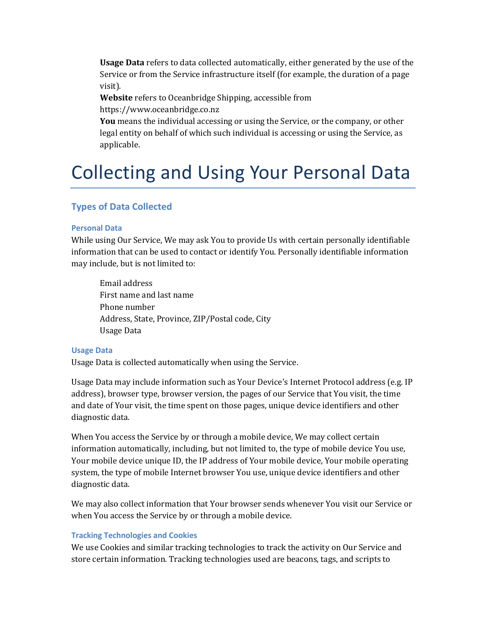**Usage Data** refers to data collected automatically, either generated by the use of the Service or from the Service infrastructure itself (for example, the duration of a page visit).

**Website** refers to Oceanbridge Shipping, accessible from [https://www.oceanbridge.co.nz](https://www.oceanbridge.co.nz/)

**You** means the individual accessing or using the Service, or the company, or other legal entity on behalf of which such individual is accessing or using the Service, as applicable.

## Collecting and Using Your Personal Data

## **Types of Data Collected**

#### **Personal Data**

While using Our Service, We may ask You to provide Us with certain personally identifiable information that can be used to contact or identify You. Personally identifiable information may include, but is not limited to:

Email address First name and last name Phone number Address, State, Province, ZIP/Postal code, City Usage Data

## **Usage Data**

Usage Data is collected automatically when using the Service.

Usage Data may include information such as Your Device's Internet Protocol address (e.g. IP address), browser type, browser version, the pages of our Service that You visit, the time and date of Your visit, the time spent on those pages, unique device identifiers and other diagnostic data.

When You access the Service by or through a mobile device, We may collect certain information automatically, including, but not limited to, the type of mobile device You use, Your mobile device unique ID, the IP address of Your mobile device, Your mobile operating system, the type of mobile Internet browser You use, unique device identifiers and other diagnostic data.

We may also collect information that Your browser sends whenever You visit our Service or when You access the Service by or through a mobile device.

## **Tracking Technologies and Cookies**

We use Cookies and similar tracking technologies to track the activity on Our Service and store certain information. Tracking technologies used are beacons, tags, and scripts to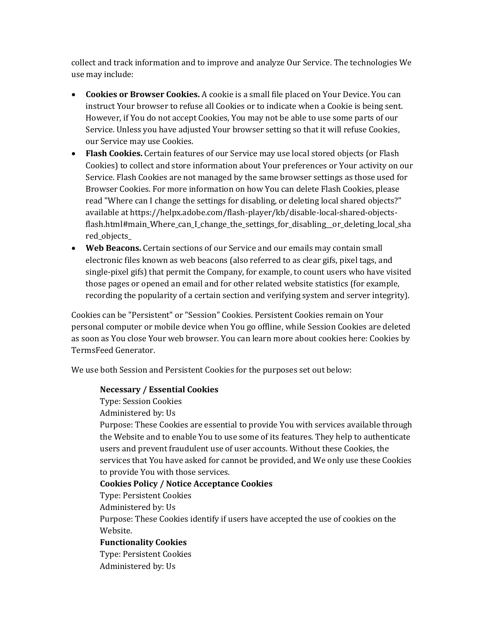collect and track information and to improve and analyze Our Service. The technologies We use may include:

- **Cookies or Browser Cookies.** A cookie is a small file placed on Your Device. You can instruct Your browser to refuse all Cookies or to indicate when a Cookie is being sent. However, if You do not accept Cookies, You may not be able to use some parts of our Service. Unless you have adjusted Your browser setting so that it will refuse Cookies, our Service may use Cookies.
- **Flash Cookies.** Certain features of our Service may use local stored objects (or Flash Cookies) to collect and store information about Your preferences or Your activity on our Service. Flash Cookies are not managed by the same browser settings as those used for Browser Cookies. For more information on how You can delete Flash Cookies, please read "Where can I change the settings for disabling, or deleting local shared objects?" available at [https://helpx.adobe.com/flash-player/kb/disable-local-shared-objects](https://helpx.adobe.com/flash-player/kb/disable-local-shared-objects-flash.html#main_Where_can_I_change_the_settings_for_disabling__or_deleting_local_shared_objects_)[flash.html#main\\_Where\\_can\\_I\\_change\\_the\\_settings\\_for\\_disabling\\_\\_or\\_deleting\\_local\\_sha](https://helpx.adobe.com/flash-player/kb/disable-local-shared-objects-flash.html#main_Where_can_I_change_the_settings_for_disabling__or_deleting_local_shared_objects_) [red\\_objects\\_](https://helpx.adobe.com/flash-player/kb/disable-local-shared-objects-flash.html#main_Where_can_I_change_the_settings_for_disabling__or_deleting_local_shared_objects_)
- **Web Beacons.** Certain sections of our Service and our emails may contain small electronic files known as web beacons (also referred to as clear gifs, pixel tags, and single-pixel gifs) that permit the Company, for example, to count users who have visited those pages or opened an email and for other related website statistics (for example, recording the popularity of a certain section and verifying system and server integrity).

Cookies can be "Persistent" or "Session" Cookies. Persistent Cookies remain on Your personal computer or mobile device when You go offline, while Session Cookies are deleted as soon as You close Your web browser. You can learn more about cookies here: [Cookies by](https://www.termsfeed.com/privacy-policy-generator/#faq-8)  [TermsFeed Generator.](https://www.termsfeed.com/privacy-policy-generator/#faq-8)

We use both Session and Persistent Cookies for the purposes set out below:

## **Necessary / Essential Cookies**

Type: Session Cookies

Administered by: Us

Purpose: These Cookies are essential to provide You with services available through the Website and to enable You to use some of its features. They help to authenticate users and prevent fraudulent use of user accounts. Without these Cookies, the services that You have asked for cannot be provided, and We only use these Cookies to provide You with those services.

#### **Cookies Policy / Notice Acceptance Cookies**

Type: Persistent Cookies

Administered by: Us

Purpose: These Cookies identify if users have accepted the use of cookies on the Website.

## **Functionality Cookies**

Type: Persistent Cookies Administered by: Us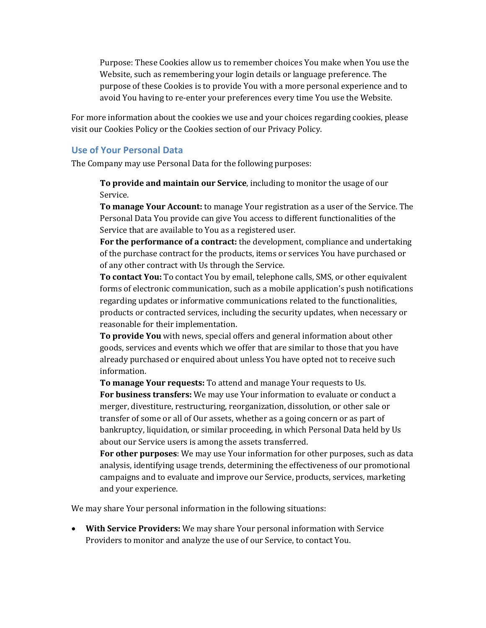Purpose: These Cookies allow us to remember choices You make when You use the Website, such as remembering your login details or language preference. The purpose of these Cookies is to provide You with a more personal experience and to avoid You having to re-enter your preferences every time You use the Website.

For more information about the cookies we use and your choices regarding cookies, please visit our Cookies Policy or the Cookies section of our Privacy Policy.

### **Use of Your Personal Data**

The Company may use Personal Data for the following purposes:

**To provide and maintain our Service**, including to monitor the usage of our Service.

**To manage Your Account:** to manage Your registration as a user of the Service. The Personal Data You provide can give You access to different functionalities of the Service that are available to You as a registered user.

**For the performance of a contract:** the development, compliance and undertaking of the purchase contract for the products, items or services You have purchased or of any other contract with Us through the Service.

**To contact You:** To contact You by email, telephone calls, SMS, or other equivalent forms of electronic communication, such as a mobile application's push notifications regarding updates or informative communications related to the functionalities, products or contracted services, including the security updates, when necessary or reasonable for their implementation.

**To provide You** with news, special offers and general information about other goods, services and events which we offer that are similar to those that you have already purchased or enquired about unless You have opted not to receive such information.

**To manage Your requests:** To attend and manage Your requests to Us. **For business transfers:** We may use Your information to evaluate or conduct a merger, divestiture, restructuring, reorganization, dissolution, or other sale or transfer of some or all of Our assets, whether as a going concern or as part of bankruptcy, liquidation, or similar proceeding, in which Personal Data held by Us about our Service users is among the assets transferred.

**For other purposes**: We may use Your information for other purposes, such as data analysis, identifying usage trends, determining the effectiveness of our promotional campaigns and to evaluate and improve our Service, products, services, marketing and your experience.

We may share Your personal information in the following situations:

 **With Service Providers:** We may share Your personal information with Service Providers to monitor and analyze the use of our Service, to contact You.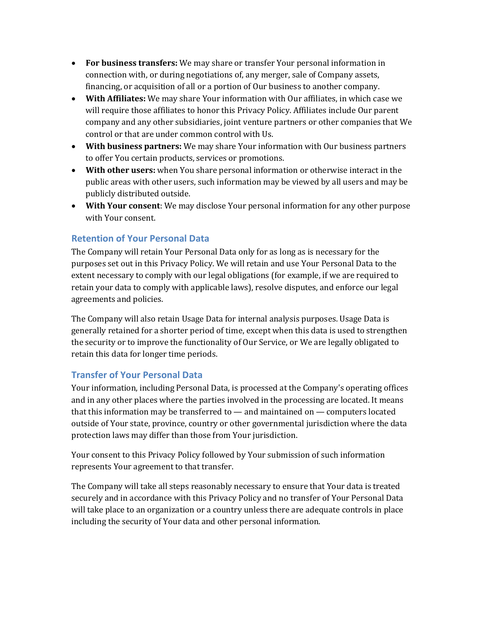- **For business transfers:** We may share or transfer Your personal information in connection with, or during negotiations of, any merger, sale of Company assets, financing, or acquisition of all or a portion of Our business to another company.
- **With Affiliates:** We may share Your information with Our affiliates, in which case we will require those affiliates to honor this Privacy Policy. Affiliates include Our parent company and any other subsidiaries, joint venture partners or other companies that We control or that are under common control with Us.
- **With business partners:** We may share Your information with Our business partners to offer You certain products, services or promotions.
- **With other users:** when You share personal information or otherwise interact in the public areas with other users, such information may be viewed by all users and may be publicly distributed outside.
- **With Your consent**: We may disclose Your personal information for any other purpose with Your consent.

## **Retention of Your Personal Data**

The Company will retain Your Personal Data only for as long as is necessary for the purposes set out in this Privacy Policy. We will retain and use Your Personal Data to the extent necessary to comply with our legal obligations (for example, if we are required to retain your data to comply with applicable laws), resolve disputes, and enforce our legal agreements and policies.

The Company will also retain Usage Data for internal analysis purposes. Usage Data is generally retained for a shorter period of time, except when this data is used to strengthen the security or to improve the functionality of Our Service, or We are legally obligated to retain this data for longer time periods.

## **Transfer of Your Personal Data**

Your information, including Personal Data, is processed at the Company's operating offices and in any other places where the parties involved in the processing are located. It means that this information may be transferred to — and maintained on — computers located outside of Your state, province, country or other governmental jurisdiction where the data protection laws may differ than those from Your jurisdiction.

Your consent to this Privacy Policy followed by Your submission of such information represents Your agreement to that transfer.

The Company will take all steps reasonably necessary to ensure that Your data is treated securely and in accordance with this Privacy Policy and no transfer of Your Personal Data will take place to an organization or a country unless there are adequate controls in place including the security of Your data and other personal information.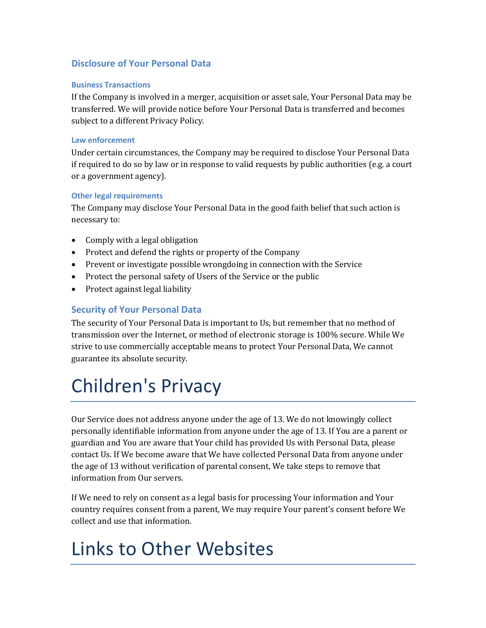## **Disclosure of Your Personal Data**

#### **Business Transactions**

If the Company is involved in a merger, acquisition or asset sale, Your Personal Data may be transferred. We will provide notice before Your Personal Data is transferred and becomes subject to a different Privacy Policy.

#### **Law enforcement**

Under certain circumstances, the Company may be required to disclose Your Personal Data if required to do so by law or in response to valid requests by public authorities (e.g. a court or a government agency).

#### **Other legal requirements**

The Company may disclose Your Personal Data in the good faith belief that such action is necessary to:

- Comply with a legal obligation
- Protect and defend the rights or property of the Company
- Prevent or investigate possible wrongdoing in connection with the Service
- Protect the personal safety of Users of the Service or the public
- Protect against legal liability

## **Security of Your Personal Data**

The security of Your Personal Data is important to Us, but remember that no method of transmission over the Internet, or method of electronic storage is 100% secure. While We strive to use commercially acceptable means to protect Your Personal Data, We cannot guarantee its absolute security.

# Children's Privacy

Our Service does not address anyone under the age of 13. We do not knowingly collect personally identifiable information from anyone under the age of 13. If You are a parent or guardian and You are aware that Your child has provided Us with Personal Data, please contact Us. If We become aware that We have collected Personal Data from anyone under the age of 13 without verification of parental consent, We take steps to remove that information from Our servers.

If We need to rely on consent as a legal basis for processing Your information and Your country requires consent from a parent, We may require Your parent's consent before We collect and use that information.

# Links to Other Websites